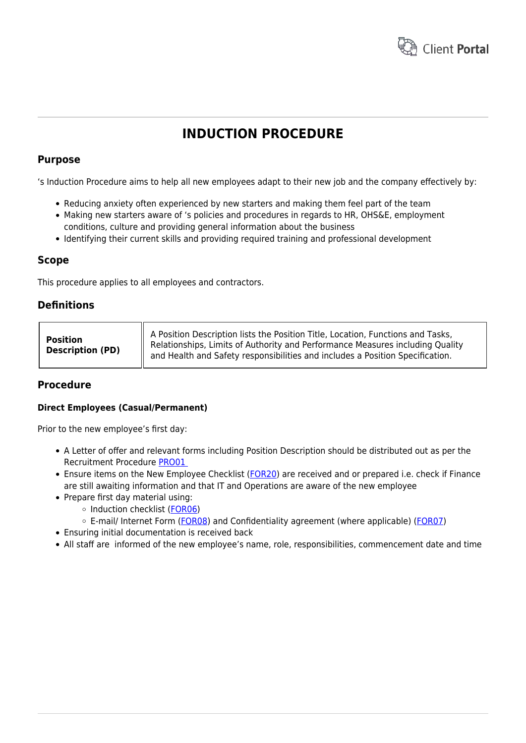

# **INDUCTION PROCEDURE**

#### **Purpose**

's Induction Procedure aims to help all new employees adapt to their new job and the company effectively by:

- Reducing anxiety often experienced by new starters and making them feel part of the team
- Making new starters aware of 's policies and procedures in regards to HR, OHS&E, employment conditions, culture and providing general information about the business
- Identifying their current skills and providing required training and professional development

#### **Scope**

This procedure applies to all employees and contractors.

## **Definitions**

| <b>Position</b>         | A Position Description lists the Position Title, Location, Functions and Tasks,<br>  Relationships, Limits of Authority and Performance Measures including Quality |
|-------------------------|--------------------------------------------------------------------------------------------------------------------------------------------------------------------|
| <b>Description (PD)</b> | and Health and Safety responsibilities and includes a Position Specification.                                                                                      |

## **Procedure**

#### **Direct Employees (Casual/Permanent)**

Prior to the new employee's first day:

- A Letter of offer and relevant forms including Position Description should be distributed out as per the Recruitment Procedure [PRO01](https://hrtemplates.com.au/policies_procedures/hr-pro01-recruitment-procedure/)
- Ensure items on the New Employee Checklist [\(FOR20](https://www.hrtemplates.com.au/form_templates/hr-for20-new-employee-checklist/)) are received and or prepared i.e. check if Finance are still awaiting information and that IT and Operations are aware of the new employee
- Prepare first day material using:
	- $\circ$  Induction checklist [\(FOR06](https://www.hrtemplates.com.au/form_templates/hr-for06-induction-form/))
	- E-mail/ Internet Form ([FOR08\)](https://www.hrtemplates.com.au/form_templates/hr-for08-email-internet-form/) and Confidentiality agreement (where applicable) ([FOR07\)](https://www.hrtemplates.com.au/form_templates/hr-for07-confidentiality-form/)
- Ensuring initial documentation is received back
- All staff are informed of the new employee's name, role, responsibilities, commencement date and time